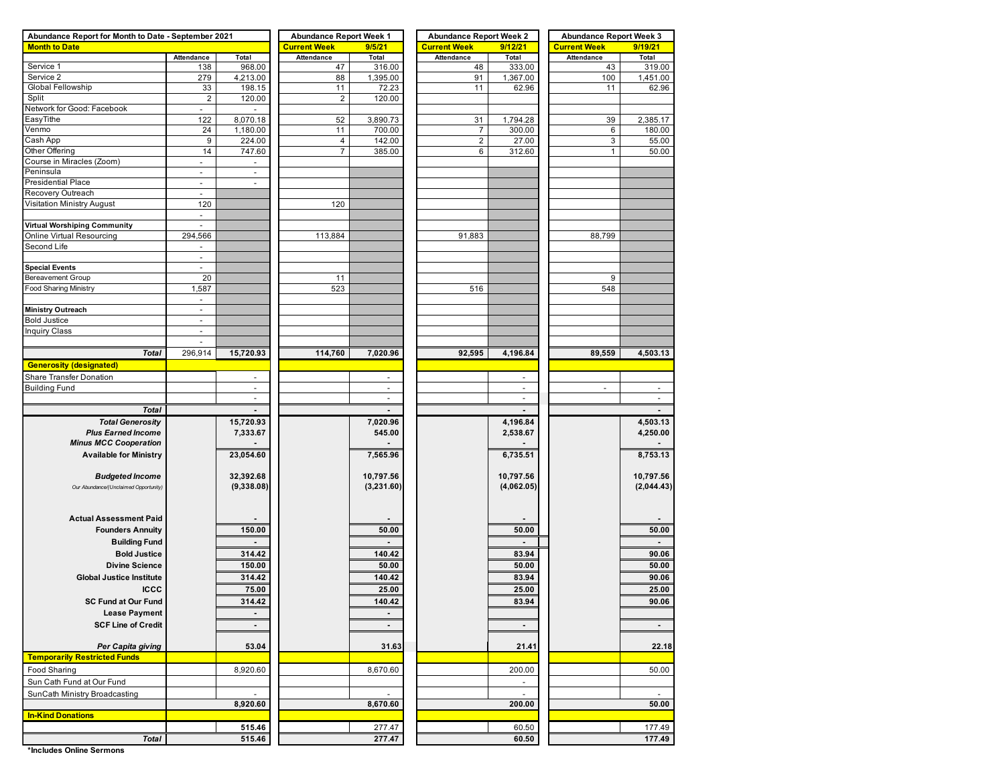| Abundance Report for Month to Date - September 2021 |                          |                          | <b>Abundance Report Week 1</b> |                             | <b>Abundance Report Week 2</b> |                          | <b>Abundance Report Week 3</b> |                |  |  |
|-----------------------------------------------------|--------------------------|--------------------------|--------------------------------|-----------------------------|--------------------------------|--------------------------|--------------------------------|----------------|--|--|
| <b>Month to Date</b>                                |                          |                          | <b>Current Week</b>            | 9/5/21                      | <b>Current Week</b>            | 9/12/21                  | <b>Current Week</b>            | 9/19/21        |  |  |
|                                                     | Attendance               | Total                    | Attendance                     | Total                       | Attendance                     | Total                    | Attendance                     | Total          |  |  |
| Service 1                                           | 138                      | 968.00                   | 47                             | 316.00                      | 48                             | 333.00                   | 43                             | 319.00         |  |  |
| Service 2                                           | 279                      | 4,213.00                 | 88                             | 1,395.00                    | 91                             | 1,367.00                 | 100                            | 1,451.00       |  |  |
| Global Fellowship                                   | 33                       | 198.15                   | 11                             | 72.23                       | 11                             | 62.96                    | 11                             | 62.96          |  |  |
| Split                                               | $\overline{2}$           | 120.00                   | $\overline{2}$                 | 120.00                      |                                |                          |                                |                |  |  |
| Network for Good: Facebook                          | $\blacksquare$           |                          |                                |                             |                                |                          |                                |                |  |  |
| EasyTithe                                           | 122                      | 8,070.18                 | 52                             | 3,890.73                    | 31                             | 1,794.28                 | 39                             | 2,385.17       |  |  |
| Venmo                                               | 24                       | 1,180.00                 | 11                             | 700.00                      | 7                              | 300.00                   | 6                              | 180.00         |  |  |
| Cash App                                            | 9                        | 224.00                   | 4                              | 142.00                      | $\overline{\mathbf{c}}$        | 27.00                    | 3                              | 55.00          |  |  |
| Other Offering                                      | 14                       | 747.60                   | $\overline{7}$                 | 385.00                      | 6                              | 312.60                   | 1                              | 50.00          |  |  |
| Course in Miracles (Zoom)                           | $\overline{\phantom{a}}$ |                          |                                |                             |                                |                          |                                |                |  |  |
| Peninsula                                           | $\overline{\phantom{a}}$ | $\overline{\phantom{a}}$ |                                |                             |                                |                          |                                |                |  |  |
| <b>Presidential Place</b>                           | $\overline{\phantom{a}}$ | $\overline{\phantom{a}}$ |                                |                             |                                |                          |                                |                |  |  |
| Recovery Outreach                                   | $\overline{\phantom{a}}$ |                          |                                |                             |                                |                          |                                |                |  |  |
| Visitation Ministry August                          | 120                      |                          | 120                            |                             |                                |                          |                                |                |  |  |
|                                                     | $\overline{\phantom{a}}$ |                          |                                |                             |                                |                          |                                |                |  |  |
| <b>Virtual Worshiping Community</b>                 | $\sim$                   |                          |                                |                             |                                |                          |                                |                |  |  |
| <b>Online Virtual Resourcing</b>                    | 294,566                  |                          | 113,884                        |                             | 91,883                         |                          | 88,799                         |                |  |  |
| Second Life                                         | $\overline{\phantom{a}}$ |                          |                                |                             |                                |                          |                                |                |  |  |
|                                                     | ä,                       |                          |                                |                             |                                |                          |                                |                |  |  |
| <b>Special Events</b>                               | $\blacksquare$           |                          |                                |                             |                                |                          |                                |                |  |  |
| Bereavement Group                                   | 20                       |                          | 11                             |                             |                                |                          | 9                              |                |  |  |
| Food Sharing Ministry                               | 1,587                    |                          | 523                            |                             | 516                            |                          | 548                            |                |  |  |
|                                                     | $\blacksquare$           |                          |                                |                             |                                |                          |                                |                |  |  |
| <b>Ministry Outreach</b>                            | $\overline{\phantom{a}}$ |                          |                                |                             |                                |                          |                                |                |  |  |
| <b>Bold Justice</b>                                 | $\overline{\phantom{a}}$ |                          |                                |                             |                                |                          |                                |                |  |  |
| <b>Inquiry Class</b>                                | ä,                       |                          |                                |                             |                                |                          |                                |                |  |  |
|                                                     | $\overline{\phantom{a}}$ |                          |                                |                             |                                |                          |                                |                |  |  |
| <b>Total</b>                                        | 296,914                  | 15,720.93                | 114,760                        | 7,020.96                    | 92,595                         | 4,196.84                 | 89,559                         | 4,503.13       |  |  |
| <b>Generosity (designated)</b>                      |                          |                          |                                |                             |                                |                          |                                |                |  |  |
| Share Transfer Donation                             |                          | $\overline{\phantom{a}}$ |                                | $\overline{\phantom{a}}$    |                                |                          |                                |                |  |  |
| <b>Building Fund</b>                                |                          | ÷.                       |                                | $\blacksquare$              |                                | $\blacksquare$           | ÷.                             | $\overline{a}$ |  |  |
|                                                     |                          | $\sim$                   |                                | $\mathcal{L}_{\mathcal{A}}$ |                                | $\sim$                   |                                | $\blacksquare$ |  |  |
| <b>Total</b>                                        |                          |                          |                                |                             |                                |                          |                                |                |  |  |
| <b>Total Generosity</b>                             |                          | 15,720.93                |                                | 7,020.96                    |                                | 4,196.84                 |                                | 4,503.13       |  |  |
| <b>Plus Earned Income</b>                           |                          | 7,333.67                 |                                | 545.00                      |                                | 2,538.67                 |                                | 4,250.00       |  |  |
| <b>Minus MCC Cooperation</b>                        |                          |                          |                                |                             |                                |                          |                                |                |  |  |
| <b>Available for Ministry</b>                       |                          | 23,054.60                |                                | 7,565.96                    |                                | 6,735.51                 |                                | 8,753.13       |  |  |
|                                                     |                          |                          |                                |                             |                                |                          |                                |                |  |  |
| <b>Budgeted Income</b>                              |                          | 32,392.68                |                                | 10,797.56                   |                                | 10,797.56                |                                | 10,797.56      |  |  |
| Our Abundance/(Unclaimed Opportunity)               |                          | (9,338.08)               |                                | (3,231.60)                  |                                | (4,062.05)               |                                | (2,044.43)     |  |  |
|                                                     |                          |                          |                                |                             |                                |                          |                                |                |  |  |
|                                                     |                          |                          |                                |                             |                                |                          |                                |                |  |  |
| <b>Actual Assessment Paid</b>                       |                          |                          |                                |                             |                                |                          |                                |                |  |  |
| <b>Founders Annuity</b>                             |                          | 150.00                   |                                | 50.00                       |                                | 50.00                    |                                | 50.00          |  |  |
| <b>Building Fund</b>                                |                          |                          |                                |                             |                                |                          |                                | ۰.             |  |  |
|                                                     |                          |                          |                                |                             |                                |                          |                                |                |  |  |
| <b>Bold Justice</b>                                 |                          | 314.42                   |                                | 140.42                      |                                | 83.94                    |                                | 90.06          |  |  |
| <b>Divine Science</b>                               |                          | 150.00                   |                                | 50.00                       |                                | 50.00                    |                                | 50.00          |  |  |
| <b>Global Justice Institute</b>                     |                          | 314.42                   |                                | 140.42                      |                                | 83.94                    |                                | 90.06          |  |  |
| <b>ICCC</b>                                         |                          | 75.00                    |                                | 25.00                       |                                | 25.00                    |                                | 25.00          |  |  |
| <b>SC Fund at Our Fund</b>                          |                          | 314.42                   |                                | 140.42                      |                                | 83.94                    |                                | 90.06          |  |  |
| <b>Lease Payment</b>                                |                          | $\blacksquare$           |                                |                             |                                |                          |                                |                |  |  |
| <b>SCF Line of Credit</b>                           |                          | $\blacksquare$           |                                | $\blacksquare$              |                                | $\blacksquare$           |                                | $\sim$         |  |  |
|                                                     |                          |                          |                                |                             |                                |                          |                                |                |  |  |
| Per Capita giving                                   |                          | 53.04                    |                                | 31.63                       |                                | 21.41                    |                                | 22.18          |  |  |
| <b>Temporarily Restricted Funds</b>                 |                          |                          |                                |                             |                                |                          |                                |                |  |  |
| Food Sharing                                        |                          | 8,920.60                 |                                | 8,670.60                    |                                | 200.00                   |                                | 50.00          |  |  |
|                                                     |                          |                          |                                |                             |                                |                          |                                |                |  |  |
| Sun Cath Fund at Our Fund                           |                          |                          |                                |                             |                                | $\overline{\phantom{a}}$ |                                |                |  |  |
| SunCath Ministry Broadcasting                       |                          | $\blacksquare$           |                                |                             |                                | $\blacksquare$           |                                | $\blacksquare$ |  |  |
|                                                     |                          | 8,920.60                 |                                | 8,670.60                    |                                | 200.00                   |                                | 50.00          |  |  |
| <b>In-Kind Donations</b>                            |                          |                          |                                |                             |                                |                          |                                |                |  |  |
|                                                     |                          | 515.46                   |                                | 277.47                      |                                | 60.50                    |                                | 177.49         |  |  |
| <b>Total</b>                                        |                          | 515.46                   |                                | 277.47                      |                                | 60.50                    |                                | 177.49         |  |  |

**\*Includes Online Sermons**